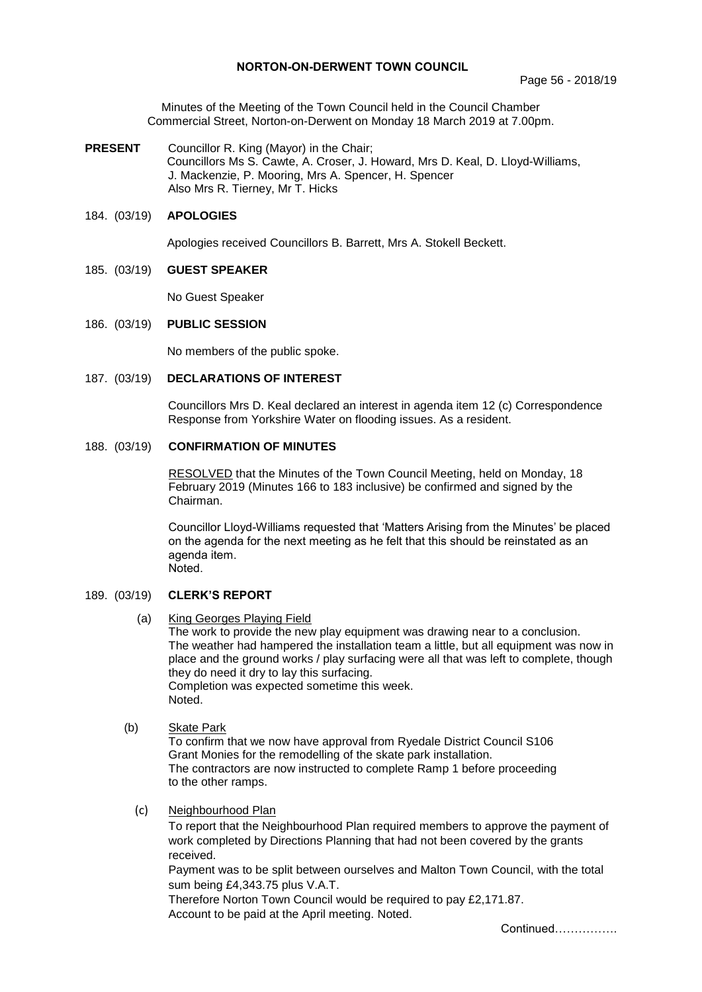# **NORTON-ON-DERWENT TOWN COUNCIL**

Minutes of the Meeting of the Town Council held in the Council Chamber Commercial Street, Norton-on-Derwent on Monday 18 March 2019 at 7.00pm.

**PRESENT** Councillor R. King (Mayor) in the Chair; Councillors Ms S. Cawte, A. Croser, J. Howard, Mrs D. Keal, D. Lloyd-Williams, J. Mackenzie, P. Mooring, Mrs A. Spencer, H. Spencer Also Mrs R. Tierney, Mr T. Hicks

## 184. (03/19) **APOLOGIES**

Apologies received Councillors B. Barrett, Mrs A. Stokell Beckett.

## 185. (03/19) **GUEST SPEAKER**

No Guest Speaker

## 186. (03/19) **PUBLIC SESSION**

No members of the public spoke.

187. (03/19) **DECLARATIONS OF INTEREST**

Councillors Mrs D. Keal declared an interest in agenda item 12 (c) Correspondence Response from Yorkshire Water on flooding issues. As a resident.

# 188. (03/19) **CONFIRMATION OF MINUTES**

 RESOLVED that the Minutes of the Town Council Meeting, held on Monday, 18 February 2019 (Minutes 166 to 183 inclusive) be confirmed and signed by the Chairman.

Councillor Lloyd-Williams requested that 'Matters Arising from the Minutes' be placed on the agenda for the next meeting as he felt that this should be reinstated as an agenda item. Noted.

## 189. (03/19) **CLERK'S REPORT**

(a) King Georges Playing Field

The work to provide the new play equipment was drawing near to a conclusion. The weather had hampered the installation team a little, but all equipment was now in place and the ground works / play surfacing were all that was left to complete, though they do need it dry to lay this surfacing. Completion was expected sometime this week. Noted.

# (b) Skate Park

To confirm that we now have approval from Ryedale District Council S106 Grant Monies for the remodelling of the skate park installation. The contractors are now instructed to complete Ramp 1 before proceeding to the other ramps.

## (c) Neighbourhood Plan

To report that the Neighbourhood Plan required members to approve the payment of work completed by Directions Planning that had not been covered by the grants received.

Payment was to be split between ourselves and Malton Town Council, with the total sum being £4,343.75 plus V.A.T.

Therefore Norton Town Council would be required to pay £2,171.87. Account to be paid at the April meeting. Noted.

Continued…………….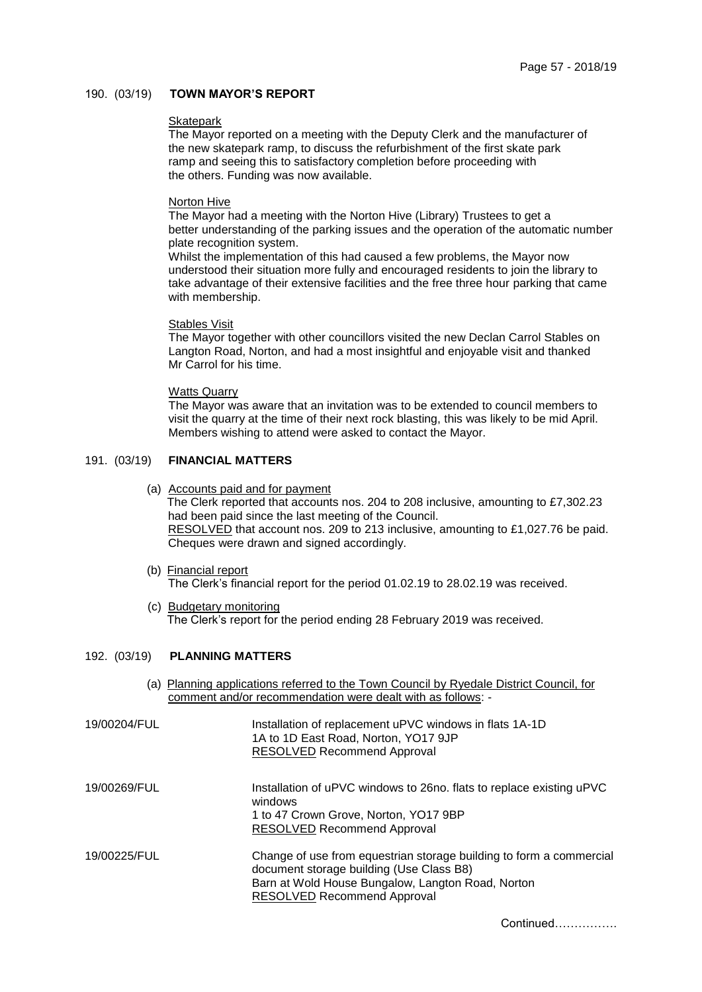## 190. (03/19) **TOWN MAYOR'S REPORT**

### **Skatepark**

The Mayor reported on a meeting with the Deputy Clerk and the manufacturer of the new skatepark ramp, to discuss the refurbishment of the first skate park ramp and seeing this to satisfactory completion before proceeding with the others. Funding was now available.

### Norton Hive

The Mayor had a meeting with the Norton Hive (Library) Trustees to get a better understanding of the parking issues and the operation of the automatic number plate recognition system.

Whilst the implementation of this had caused a few problems, the Mayor now understood their situation more fully and encouraged residents to join the library to take advantage of their extensive facilities and the free three hour parking that came with membership.

#### Stables Visit

The Mayor together with other councillors visited the new Declan Carrol Stables on Langton Road, Norton, and had a most insightful and enjoyable visit and thanked Mr Carrol for his time.

### Watts Quarry

The Mayor was aware that an invitation was to be extended to council members to visit the quarry at the time of their next rock blasting, this was likely to be mid April. Members wishing to attend were asked to contact the Mayor.

# 191. (03/19) **FINANCIAL MATTERS**

## (a) Accounts paid and for payment

The Clerk reported that accounts nos. 204 to 208 inclusive, amounting to £7,302.23 had been paid since the last meeting of the Council. RESOLVED that account nos. 209 to 213 inclusive, amounting to £1,027.76 be paid. Cheques were drawn and signed accordingly.

- (b) Financial report The Clerk's financial report for the period 01.02.19 to 28.02.19 was received.
- (c) Budgetary monitoring The Clerk's report for the period ending 28 February 2019 was received.

# 192. (03/19) **PLANNING MATTERS**

(a) Planning applications referred to the Town Council by Ryedale District Council, for comment and/or recommendation were dealt with as follows: -

| 19/00204/FUL | Installation of replacement uPVC windows in flats 1A-1D<br>1A to 1D East Road, Norton, YO17 9JP<br><b>RESOLVED Recommend Approval</b>                                                                      |
|--------------|------------------------------------------------------------------------------------------------------------------------------------------------------------------------------------------------------------|
| 19/00269/FUL | Installation of uPVC windows to 26no. flats to replace existing uPVC<br>windows<br>1 to 47 Crown Grove, Norton, YO17 9BP<br><b>RESOLVED Recommend Approval</b>                                             |
| 19/00225/FUL | Change of use from equestrian storage building to form a commercial<br>document storage building (Use Class B8)<br>Barn at Wold House Bungalow, Langton Road, Norton<br><b>RESOLVED Recommend Approval</b> |

Continued…………….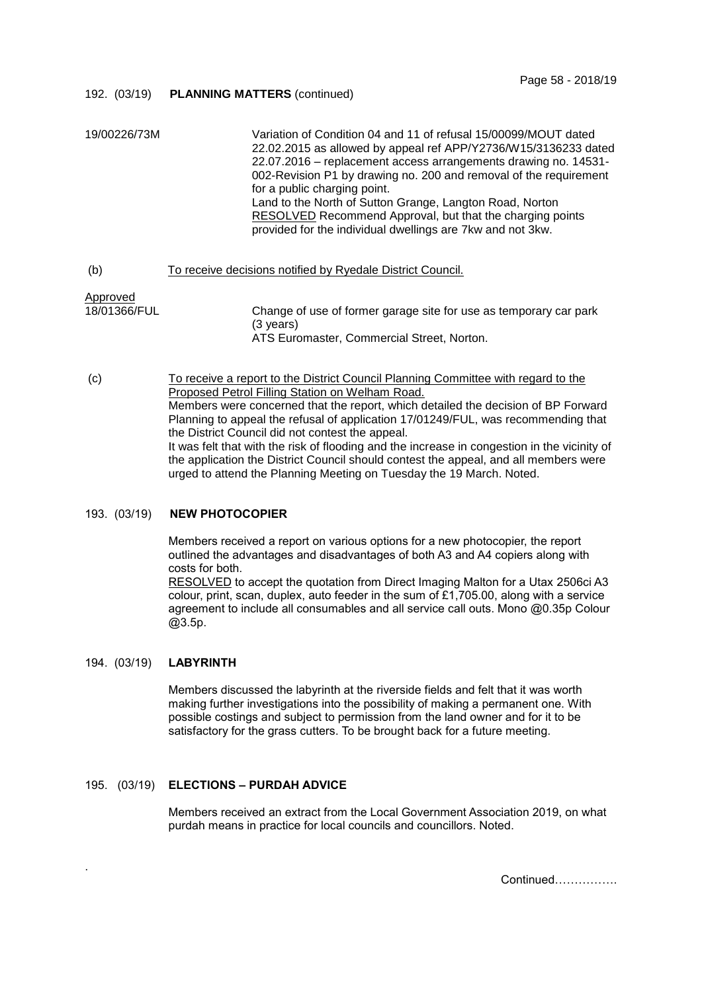## 192. (03/19) **PLANNING MATTERS** (continued)

| 19/00226/73M             | Variation of Condition 04 and 11 of refusal 15/00099/MOUT dated<br>22.02.2015 as allowed by appeal ref APP/Y2736/W15/3136233 dated<br>22.07.2016 – replacement access arrangements drawing no. 14531-<br>002-Revision P1 by drawing no. 200 and removal of the requirement<br>for a public charging point.<br>Land to the North of Sutton Grange, Langton Road, Norton<br>RESOLVED Recommend Approval, but that the charging points<br>provided for the individual dwellings are 7kw and not 3kw. |
|--------------------------|---------------------------------------------------------------------------------------------------------------------------------------------------------------------------------------------------------------------------------------------------------------------------------------------------------------------------------------------------------------------------------------------------------------------------------------------------------------------------------------------------|
| (b)                      | To receive decisions notified by Ryedale District Council.                                                                                                                                                                                                                                                                                                                                                                                                                                        |
| Approved<br>18/01366/FUL | Change of use of former garage site for use as temporary car park<br>(3 vears)<br>ATS Euromaster, Commercial Street, Norton.                                                                                                                                                                                                                                                                                                                                                                      |
| (c)                      | To receive a report to the District Council Planning Committee with regard to the<br>Proposed Petrol Filling Station on Welham Road.                                                                                                                                                                                                                                                                                                                                                              |

Members were concerned that the report, which detailed the decision of BP Forward Planning to appeal the refusal of application 17/01249/FUL, was recommending that the District Council did not contest the appeal. It was felt that with the risk of flooding and the increase in congestion in the vicinity of

the application the District Council should contest the appeal, and all members were urged to attend the Planning Meeting on Tuesday the 19 March. Noted.

# 193. (03/19) **NEW PHOTOCOPIER**

Members received a report on various options for a new photocopier, the report outlined the advantages and disadvantages of both A3 and A4 copiers along with costs for both. RESOLVED to accept the quotation from Direct Imaging Malton for a Utax 2506ci A3 colour, print, scan, duplex, auto feeder in the sum of £1,705.00, along with a service agreement to include all consumables and all service call outs. Mono @0.35p Colour @3.5p.

## 194. (03/19) **LABYRINTH**

.

Members discussed the labyrinth at the riverside fields and felt that it was worth making further investigations into the possibility of making a permanent one. With possible costings and subject to permission from the land owner and for it to be satisfactory for the grass cutters. To be brought back for a future meeting.

# 195. (03/19) **ELECTIONS – PURDAH ADVICE**

Members received an extract from the Local Government Association 2019, on what purdah means in practice for local councils and councillors. Noted.

Continued…………….